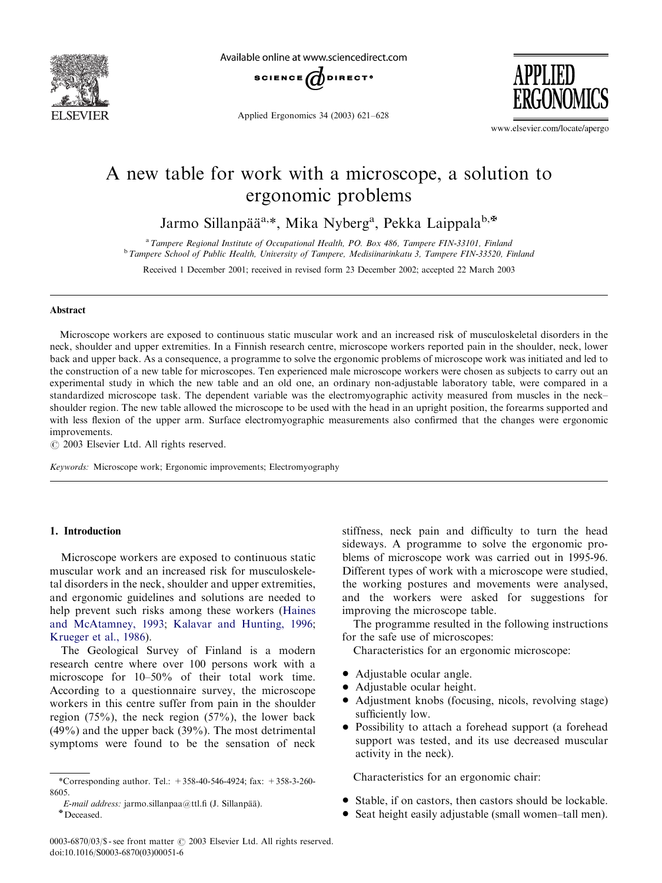

Available online at www.sciencedirect.com



Applied Ergonomics 34 (2003) 621–628



www.elsevier.com/locate/apergo

# A new table for work with a microscope, a solution to ergonomic problems

Jarmo Sillanpää<sup>a,</sup>\*, Mika Nyberg<sup>a</sup>, Pekka Laippala<sup>b,#</sup>

<sup>a</sup> Tampere Regional Institute of Occupational Health, PO. Box 486, Tampere FIN-33101, Finland <sup>b</sup> Tampere School of Public Health, University of Tampere, Medisiinarinkatu 3, Tampere FIN-33520, Finland

Received 1 December 2001; received in revised form 23 December 2002; accepted 22 March 2003

#### Abstract

Microscope workers are exposed to continuous static muscular work and an increased risk of musculoskeletal disorders in the neck, shoulder and upper extremities. In a Finnish research centre, microscope workers reported pain in the shoulder, neck, lower back and upper back. As a consequence, a programme to solve the ergonomic problems of microscope work was initiated and led to the construction of a new table for microscopes. Ten experienced male microscope workers were chosen as subjects to carry out an experimental study in which the new table and an old one, an ordinary non-adjustable laboratory table, were compared in a standardized microscope task. The dependent variable was the electromyographic activity measured from muscles in the neck– shoulder region. The new table allowed the microscope to be used with the head in an upright position, the forearms supported and with less flexion of the upper arm. Surface electromyographic measurements also confirmed that the changes were ergonomic improvements.

 $\odot$  2003 Elsevier Ltd. All rights reserved.

Keywords: Microscope work; Ergonomic improvements; Electromyography

## 1. Introduction

Microscope workers are exposed to continuous static muscular work and an increased risk for musculoskeletal disorders in the neck, shoulder and upper extremities, and ergonomic guidelines and solutions are needed to help prevent such risks among these workers [\(Haines](#page--1-0) [and McAtamney,1993;](#page--1-0) [Kalavar and Hunting,1996](#page--1-0); [Krueger et al.,1986\)](#page--1-0).

The Geological Survey of Finland is a modern research centre where over 100 persons work with a microscope for 10–50% of their total work time. According to a questionnaire survey, the microscope workers in this centre suffer from pain in the shoulder region  $(75\%)$ , the neck region  $(57\%)$ , the lower back (49%) and the upper back (39%). The most detrimental symptoms were found to be the sensation of neck

stiffness, neck pain and difficulty to turn the head sideways. A programme to solve the ergonomic problems of microscope work was carried out in 1995-96. Different types of work with a microscope were studied, the working postures and movements were analysed, and the workers were asked for suggestions for improving the microscope table.

The programme resulted in the following instructions for the safe use of microscopes:

Characteristics for an ergonomic microscope:

- Adjustable ocular angle.
- Adjustable ocular height.
- Adjustment knobs (focusing, nicols, revolving stage) sufficiently low.
- \* Possibility to attach a forehead support (a forehead support was tested, and its use decreased muscular activity in the neck).

Characteristics for an ergonomic chair:

- Stable, if on castors, then castors should be lockable.
- Seat height easily adjustable (small women–tall men).

<sup>\*</sup>Corresponding author. Tel.: +358-40-546-4924; fax: +358-3-260- 8605.

 $E$ -mail address: jarmo.sillanpaa@ttl.fi (J. Sillanpää).

 $*$  Deceased.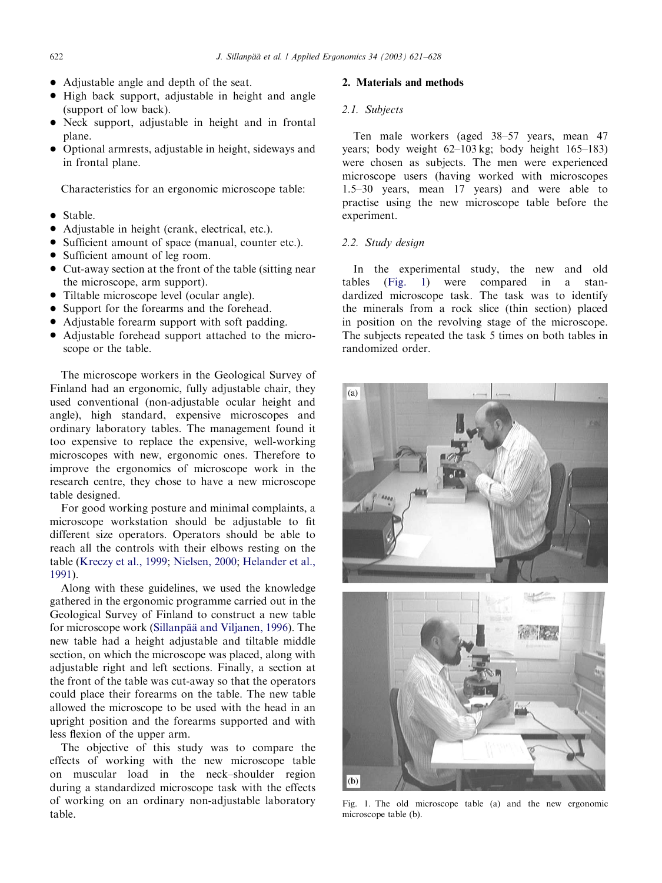- Adjustable angle and depth of the seat.
- High back support, adjustable in height and angle (support of low back).
- Neck support, adjustable in height and in frontal plane.
- Optional armrests, adjustable in height, sideways and in frontal plane.

Characteristics for an ergonomic microscope table:

- $\bullet$  Stable.
- $\bullet$  Adjustable in height (crank, electrical, etc.).
- Sufficient amount of space (manual, counter etc.).
- Sufficient amount of leg room.
- Cut-away section at the front of the table (sitting near the microscope, arm support).
- Tiltable microscope level (ocular angle).
- Support for the forearms and the forehead.
- Adjustable forearm support with soft padding.
- Adjustable forehead support attached to the microscope or the table.

The microscope workers in the Geological Survey of Finland had an ergonomic, fully adjustable chair, they used conventional (non-adjustable ocular height and angle), high standard, expensive microscopes and ordinary laboratory tables. The management found it too expensive to replace the expensive, well-working microscopes with new,ergonomic ones. Therefore to improve the ergonomics of microscope work in the research centre, they chose to have a new microscope table designed.

For good working posture and minimal complaints, a microscope workstation should be adjustable to fit different size operators. Operators should be able to reach all the controls with their elbows resting on the table ([Kreczy et al.,1999;](#page--1-0) [Nielsen,2000;](#page--1-0) [Helander et al.,](#page--1-0) [1991\)](#page--1-0).

Along with these guidelines, we used the knowledge gathered in the ergonomic programme carried out in the Geological Survey of Finland to construct a new table for microscope work (Sillanpää and Viljanen, 1996). The new table had a height adjustable and tiltable middle section, on which the microscope was placed, along with adjustable right and left sections. Finally, a section at the front of the table was cut-away so that the operators could place their forearms on the table. The new table allowed the microscope to be used with the head in an upright position and the forearms supported and with less flexion of the upper arm.

The objective of this study was to compare the effects of working with the new microscope table on muscular load in the neck–shoulder region during a standardized microscope task with the effects of working on an ordinary non-adjustable laboratory table.

# 2. Materials and methods

### 2.1. Subjects

Ten male workers (aged 38–57 years, mean 47 years; body weight 62–103 kg; body height 165–183) were chosen as subjects. The men were experienced microscope users (having worked with microscopes 1.5–30 years, mean 17 years) and were able to practise using the new microscope table before the experiment.

## 2.2. Study design

In the experimental study, the new and old tables (Fig. 1) were compared in a standardized microscope task. The task was to identify the minerals from a rock slice (thin section) placed in position on the revolving stage of the microscope. The subjects repeated the task 5 times on both tables in randomized order.



Fig. 1. The old microscope table (a) and the new ergonomic microscope table (b).